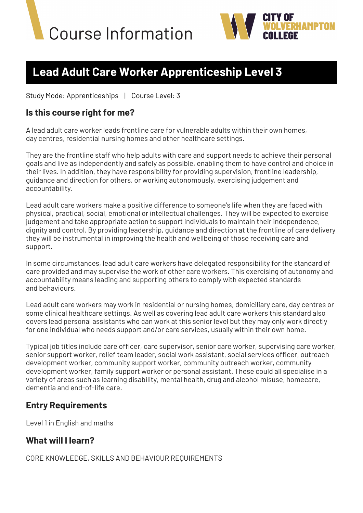



# **Lead Adult Care Worker Apprenticeship Level 3**

Study Mode: Apprenticeships | Course Level: 3

### **Is this course right for me?**

A lead adult care worker leads frontline care for vulnerable adults within their own homes, day centres, residential nursing homes and other healthcare settings.

They are the frontline staff who help adults with care and support needs to achieve their personal goals and live as independently and safely as possible, enabling them to have control and choice in their lives. In addition, they have responsibility for providing supervision, frontline leadership, guidance and direction for others, or working autonomously, exercising judgement and accountability.

Lead adult care workers make a positive difference to someone's life when they are faced with physical, practical, social, emotional or intellectual challenges. They will be expected to exercise judgement and take appropriate action to support individuals to maintain their independence, dignity and control. By providing leadership, guidance and direction at the frontline of care delivery they will be instrumental in improving the health and wellbeing of those receiving care and support.

In some circumstances, lead adult care workers have delegated responsibility for the standard of care provided and may supervise the work of other care workers. This exercising of autonomy and accountability means leading and supporting others to comply with expected standards and behaviours.

Lead adult care workers may work in residential or nursing homes, domiciliary care, day centres or some clinical healthcare settings. As well as covering lead adult care workers this standard also covers lead personal assistants who can work at this senior level but they may only work directly for one individual who needs support and/or care services, usually within their own home.

Typical job titles include care officer, care supervisor, senior care worker, supervising care worker, senior support worker, relief team leader, social work assistant, social services officer, outreach development worker, community support worker, community outreach worker, community development worker, family support worker or personal assistant. These could all specialise in a variety of areas such as learning disability, mental health, drug and alcohol misuse, homecare, dementia and end-of-life care.

# **Entry Requirements**

Level 1 in English and maths

# **What will I learn?**

CORE KNOWLEDGE, SKILLS AND BEHAVIOUR REQUIREMENTS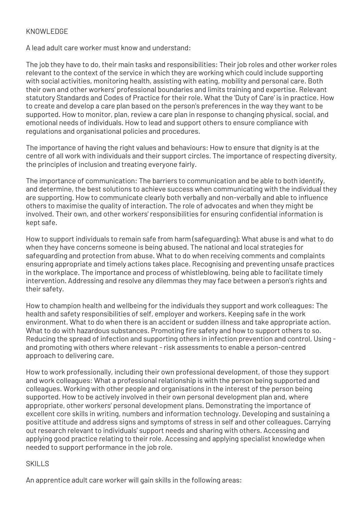#### KNOWLEDGE

A lead adult care worker must know and understand:

The job they have to do, their main tasks and responsibilities: Their job roles and other worker roles relevant to the context of the service in which they are working which could include supporting with social activities, monitoring health, assisting with eating, mobility and personal care. Both their own and other workers' professional boundaries and limits training and expertise. Relevant statutory Standards and Codes of Practice for their role. What the 'Duty of Care' is in practice. How to create and develop a care plan based on the person's preferences in the way they want to be supported. How to monitor, plan, review a care plan in response to changing physical, social, and emotional needs of individuals. How to lead and support others to ensure compliance with regulations and organisational policies and procedures.

The importance of having the right values and behaviours: How to ensure that dignity is at the centre of all work with individuals and their support circles. The importance of respecting diversity, the principles of inclusion and treating everyone fairly.

The importance of communication: The barriers to communication and be able to both identify, and determine, the best solutions to achieve success when communicating with the individual they are supporting. How to communicate clearly both verbally and non-verbally and able to influence others to maximise the quality of interaction. The role of advocates and when they might be involved. Their own, and other workers' responsibilities for ensuring confidential information is kept safe.

How to support individuals to remain safe from harm (safeguarding): What abuse is and what to do when they have concerns someone is being abused. The national and local strategies for safeguarding and protection from abuse. What to do when receiving comments and complaints ensuring appropriate and timely actions takes place. Recognising and preventing unsafe practices in the workplace. The importance and process of whistleblowing, being able to facilitate timely intervention. Addressing and resolve any dilemmas they may face between a person's rights and their safety.

How to champion health and wellbeing for the individuals they support and work colleagues: The health and safety responsibilities of self, employer and workers. Keeping safe in the work environment. What to do when there is an accident or sudden illness and take appropriate action. What to do with hazardous substances. Promoting fire safety and how to support others to so. Reducing the spread of infection and supporting others in infection prevention and control, Using and promoting with others where relevant - risk assessments to enable a person-centred approach to delivering care.

How to work professionally, including their own professional development, of those they support and work colleagues: What a professional relationship is with the person being supported and colleagues. Working with other people and organisations in the interest of the person being supported. How to be actively involved in their own personal development plan and, where appropriate, other workers' personal development plans. Demonstrating the importance of excellent core skills in writing, numbers and information technology. Developing and sustaining a positive attitude and address signs and symptoms of stress in self and other colleagues. Carrying out research relevant to individuals' support needs and sharing with others. Accessing and applying good practice relating to their role. Accessing and applying specialist knowledge when needed to support performance in the job role.

#### SKILL<sub>S</sub>

An apprentice adult care worker will gain skills in the following areas: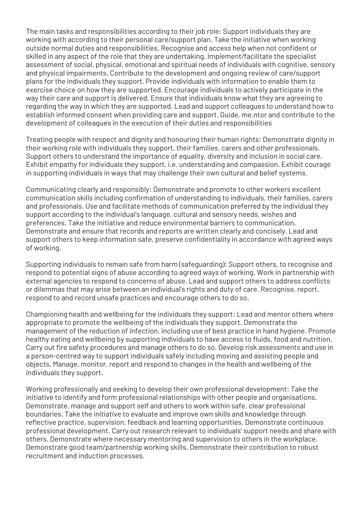The main tasks and responsibilities according to their job role: Support individuals they are working with according to their personal care/support plan. Take the initiative when working outside normal duties and responsibilities. Recognise and access help when not confident or skilled in any aspect of the role that they are undertaking. Implement/facilitate the specialist assessment of social, physical, emotional and spiritual needs of individuals with cognitive, sensory and physical impairments. Contribute to the development and ongoing review of care/support plans for the individuals they support. Provide individuals with information to enable them to exercise choice on how they are supported. Encourage individuals to actively participate in the way their care and support is delivered. Ensure that individuals know what they are agreeing to regarding the way in which they are supported. Lead and support colleagues to understand how to establish informed consent when providing care and support. Guide, me.ntor and contribute to the development of colleagues in the execution of their duties and responsibilities

Treating people with respect and dignity and honouring their human rights: Demonstrate dignity in their working role with individuals they support, their families, carers and other professionals. Support others to understand the importance of equality, diversity and inclusion in social care. Exhibit empathy for individuals they support, i.e. understanding and compassion. Exhibit courage in supporting individuals in ways that may challenge their own cultural and belief systems.

Communicating clearly and responsibly: Demonstrate and promote to other workers excellent communication skills including confirmation of understanding to individuals, their families, carers and professionals. Use and facilitate methods of communication preferred by the individual they support according to the individual's language, cultural and sensory needs, wishes and preferences. Take the initiative and reduce environmental barriers to communication. Demonstrate and ensure that records and reports are written clearly and concisely. Lead and support others to keep information safe, preserve confidentiality in accordance with agreed ways of working.

Supporting individuals to remain safe from harm (safeguarding): Support others, to recognise and respond to potential signs of abuse according to agreed ways of working. Work in partnership with external agencies to respond to concerns of abuse. Lead and support others to address conflicts or dilemmas that may arise between an individual's rights and duty of care. Recognise, report, respond to and record unsafe practices and encourage others to do so.

Championing health and wellbeing for the individuals they support: Lead and mentor others where appropriate to promote the wellbeing of the individuals they support. Demonstrate the management of the reduction of infection, including use of best practice in hand hygiene. Promote healthy eating and wellbeing by supporting individuals to have access to fluids, food and nutrition. Carry out fire safety procedures and manage others to do so. Develop risk assessments and use in a person-centred way to support individuals safely including moving and assisting people and objects. Manage, monitor, report and respond to changes in the health and wellbeing of the individuals they support.

Working professionally and seeking to develop their own professional development: Take the initiative to identify and form professional relationships with other people and organisations. Demonstrate, manage and support self and others to work within safe, clear professional boundaries. Take the initiative to evaluate and improve own skills and knowledge through reflective practice, supervision, feedback and learning opportunities. Demonstrate continuous professional development. Carry out research relevant to individuals' support needs and share with others. Demonstrate where necessary mentoring and supervision to others in the workplace. Demonstrate good team/partnership working skills. Demonstrate their contribution to robust recruitment and induction processes.